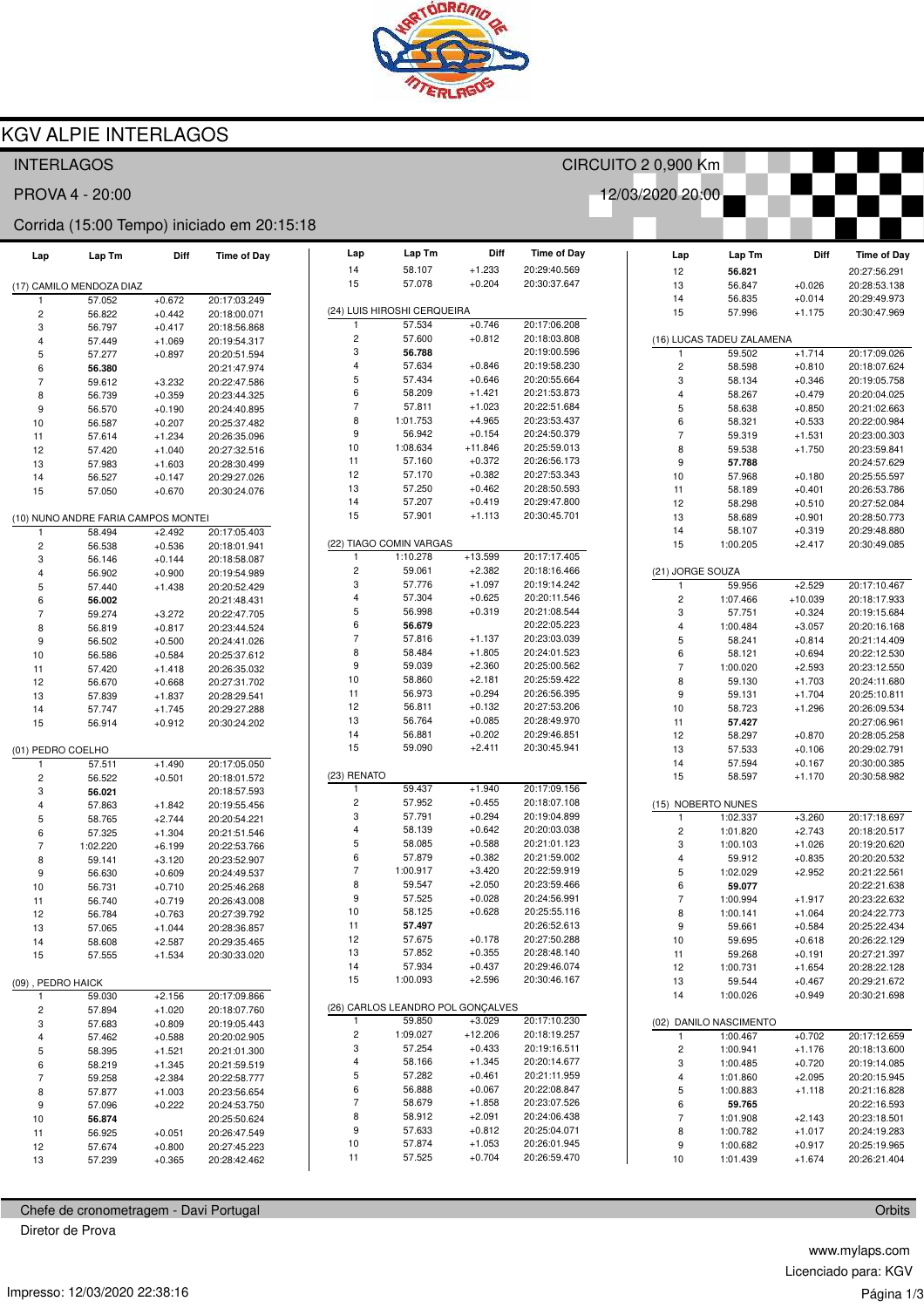

Lap Tm

58.107

57.078

Lap  $14$ 

 $15$ 

 $11$ 

57.525

 $+0.704$ 

20:26:59.470

Diff

 $+1.233$ 

 $+0.204$ 

Time of Day

20:29:40.569

20:30:37.647

## **KGV ALPIE INTERLAGOS**

### **INTERLAGOS**

PROVA 4 - 20:00

#### Corrida (15:00 Tempo) iniciado em 20:15:18

| Lap               | Lap Tm                              | Diff                 | <b>Time of Day</b>           |
|-------------------|-------------------------------------|----------------------|------------------------------|
|                   | (17) CAMILO MENDOZA DIAZ            |                      |                              |
| 1                 | 57.052                              | $+0.672$             | 20:17:03.249                 |
| 2                 | 56.822                              | $+0.442$             | 20:18:00.071                 |
| 3                 | 56.797                              | $+0.417$             | 20:18:56.868                 |
| 4                 | 57.449                              | $+1.069$             | 20:19:54.317                 |
| 5                 | 57.277                              | $+0.897$             | 20:20:51.594                 |
| 6                 | 56.380                              |                      | 20:21:47.974                 |
| 7                 | 59.612                              | $+3.232$             | 20:22:47.586                 |
| 8                 | 56.739                              | $+0.359$             | 20:23:44.325                 |
| 9                 | 56.570                              | $+0.190$             | 20:24:40.895                 |
| 10<br>11          | 56.587                              | $+0.207$             | 20:25:37.482                 |
| 12                | 57.614<br>57.420                    | $+1.234$<br>$+1.040$ | 20:26:35.096<br>20:27:32.516 |
| 13                | 57.983                              | $+1.603$             | 20:28:30.499                 |
| 14                | 56.527                              | $+0.147$             | 20:29:27.026                 |
| 15                | 57.050                              | $+0.670$             | 20:30:24.076                 |
|                   |                                     |                      |                              |
|                   | (10) NUNO ANDRE FARIA CAMPOS MONTEI |                      |                              |
| 1                 | 58.494                              | $+2.492$             | 20:17:05.403                 |
| 2                 | 56.538                              | $+0.536$             | 20:18:01.941                 |
| 3                 | 56.146                              | $+0.144$             | 20:18:58.087                 |
| 4                 | 56.902                              | $+0.900$             | 20:19:54.989                 |
| 5                 | 57.440                              | $+1.438$             | 20:20:52.429                 |
| 6                 | 56.002                              |                      | 20:21:48.431                 |
| 7                 | 59.274                              | $+3.272$             | 20:22:47.705                 |
| 8                 | 56.819                              | $+0.817$             | 20:23:44.524                 |
| 9                 | 56.502                              | $+0.500$             | 20:24:41.026                 |
| 10                | 56.586                              | $+0.584$             | 20:25:37.612                 |
| 11                | 57.420<br>56.670                    | $+1.418$             | 20:26:35.032                 |
| 12<br>13          | 57.839                              | $+0.668$<br>$+1.837$ | 20:27:31.702<br>20:28:29.541 |
| 14                | 57.747                              | $+1.745$             | 20:29:27.288                 |
| 15                | 56.914                              | $+0.912$             | 20:30:24.202                 |
|                   |                                     |                      |                              |
| (01) PEDRO COELHO |                                     |                      |                              |
| 1                 | 57.511                              | $+1.490$             | 20:17:05.050                 |
| 2                 | 56.522                              | $+0.501$             | 20:18:01.572                 |
| 3                 | 56.021                              |                      | 20:18:57.593                 |
| 4                 | 57.863                              | $+1.842$             | 20:19:55.456                 |
| 5                 | 58.765                              | $+2.744$             | 20:20:54.221                 |
| 6                 | 57.325                              | $+1.304$             | 20:21:51.546                 |
| 7                 | 1:02.220                            | $+6.199$             | 20:22:53.766                 |
| 8                 | 59.141                              | $+3.120$             | 20:23:52.907                 |
| 9<br>10           | 56.630                              | $+0.609$             | 20:24:49.537<br>20:25:46.268 |
| 11                | 56.731<br>56.740                    | $+0.710$<br>$+0.719$ | 20:26:43.008                 |
| 12                | 56.784                              | $+0.763$             | 20:27:39.792                 |
| 13                | 57.065                              | $+1.044$             | 20:28:36.857                 |
| 14                | 58.608                              | +2.587               | 20:29:35.465                 |
| 15                | 57.555                              | +1.534               | 20:30:33.020                 |
|                   |                                     |                      |                              |
| (09), PEDRO HAICK |                                     |                      |                              |
| 1                 | 59.030                              | $+2.156$             | 20:17:09.866                 |
| 2                 | 57.894                              | +1.020               | 20:18:07.760                 |
| 3                 | 57.683                              | $+0.809$             | 20:19:05.443                 |
| 4                 | 57.462                              | $+0.588$             | 20:20:02.905                 |
| 5                 | 58.395                              | +1.521               | 20:21:01.300                 |
| 6                 | 58.219                              | $+1.345$             | 20:21:59.519                 |
| 7                 | 59.258                              | $+2.384$             | 20:22:58.777                 |
| 8                 | 57.877                              | $+1.003$             | 20:23:56.654                 |
| 9                 | 57.096                              | $+0.222$             | 20:24:53.750                 |
| 10                | 56.874                              |                      | 20:25:50.624                 |
| 11                | 56.925                              | $+0.051$             | 20:26:47.549                 |
| 12<br>13          | 57.674                              | $+0.800$             | 20:27:45.223                 |
|                   | 57.239                              | $+0.365$             | 20:28:42.462                 |

| Chefe de cronometragem - Davi Portugal |  |
|----------------------------------------|--|
|                                        |  |

Diretor de Prova

| (24) LUIS HIROSHI CERQUEIRA |                                   |           |              |  |  |  |
|-----------------------------|-----------------------------------|-----------|--------------|--|--|--|
| 1                           | 57.534                            | $+0.746$  | 20:17:06.208 |  |  |  |
| 2                           | 57.600                            | $+0.812$  | 20:18:03.808 |  |  |  |
| 3                           | 56.788                            |           | 20:19:00.596 |  |  |  |
| 4                           | 57.634                            | $+0.846$  | 20:19:58.230 |  |  |  |
| 5                           | 57.434                            | $+0.646$  | 20:20:55.664 |  |  |  |
| 6                           | 58.209                            | $+1.421$  | 20:21:53.873 |  |  |  |
| 7                           |                                   |           |              |  |  |  |
|                             | 57.811                            | $+1.023$  | 20:22:51.684 |  |  |  |
| 8                           | 1:01.753                          | $+4.965$  | 20:23:53.437 |  |  |  |
| 9                           | 56.942                            | $+0.154$  | 20:24:50.379 |  |  |  |
| 10                          | 1:08.634                          | $+11.846$ | 20:25:59.013 |  |  |  |
| 11                          | 57.160                            | $+0.372$  | 20:26:56.173 |  |  |  |
| 12                          | 57.170                            | $+0.382$  | 20:27:53.343 |  |  |  |
| 13                          | 57.250                            | $+0.462$  | 20:28:50.593 |  |  |  |
| 14                          | 57.207                            | $+0.419$  | 20:29:47.800 |  |  |  |
| 15                          | 57.901                            | $+1.113$  | 20:30:45.701 |  |  |  |
|                             | (22) TIAGO COMIN VARGAS           |           |              |  |  |  |
| 1                           | 1:10.278                          | $+13.599$ | 20:17:17.405 |  |  |  |
| 2                           | 59.061                            | $+2.382$  | 20:18:16.466 |  |  |  |
| 3                           | 57.776                            | $+1.097$  | 20:19:14.242 |  |  |  |
| 4                           | 57.304                            | $+0.625$  | 20:20:11.546 |  |  |  |
|                             | 56.998                            |           |              |  |  |  |
| 5                           |                                   | $+0.319$  | 20:21:08.544 |  |  |  |
| 6                           | 56.679                            |           | 20:22:05.223 |  |  |  |
| 7                           | 57.816                            | $+1.137$  | 20:23:03.039 |  |  |  |
| 8                           | 58.484                            | $+1.805$  | 20:24:01.523 |  |  |  |
| 9                           | 59.039                            | $+2.360$  | 20:25:00.562 |  |  |  |
| 10                          | 58.860                            | $+2.181$  | 20:25:59.422 |  |  |  |
| 11                          | 56.973                            | $+0.294$  | 20:26:56.395 |  |  |  |
| 12                          | 56.811                            | $+0.132$  | 20:27:53.206 |  |  |  |
| 13                          | 56.764                            | $+0.085$  | 20:28:49.970 |  |  |  |
| 14                          | 56.881                            | $+0.202$  | 20:29:46.851 |  |  |  |
| 15                          | 59.090                            | $+2.411$  | 20:30:45.941 |  |  |  |
| (23) RENATO                 |                                   |           |              |  |  |  |
| 1                           | 59.437                            | $+1.940$  | 20:17:09.156 |  |  |  |
| 2                           | 57.952                            | $+0.455$  | 20:18:07.108 |  |  |  |
| 3                           | 57.791                            | $+0.294$  | 20:19:04.899 |  |  |  |
| 4                           | 58.139                            | $+0.642$  | 20:20:03.038 |  |  |  |
| 5                           | 58.085                            | $+0.588$  | 20:21:01.123 |  |  |  |
|                             |                                   |           |              |  |  |  |
| 6                           | 57.879                            | $+0.382$  | 20:21:59.002 |  |  |  |
| 7                           | 1:00.917                          | $+3.420$  | 20:22:59.919 |  |  |  |
| 8                           | 59.547                            | $+2.050$  | 20:23:59.466 |  |  |  |
| 9                           | 57.525                            | $+0.028$  | 20:24:56.991 |  |  |  |
| 10                          | 58.125                            | $+0.628$  | 20:25:55.116 |  |  |  |
| 11                          | 57.497                            |           | 20:26:52.613 |  |  |  |
| 12                          | 57.675                            | $+0.178$  | 20:27:50.288 |  |  |  |
| 13                          | 57.852                            | $+0.355$  | 20:28:48.140 |  |  |  |
| 14                          | 57.934                            | $+0.437$  | 20:29:46.074 |  |  |  |
| 15                          | 1:00.093                          | $+2.596$  | 20:30:46.167 |  |  |  |
|                             | (26) CARLOS LEANDRO POL GONÇALVES |           |              |  |  |  |
| 1                           | 59.850                            | $+3.029$  | 20:17:10.230 |  |  |  |
| 2                           | 1:09.027                          | +12.206   | 20:18:19.257 |  |  |  |
| 3                           | 57.254                            | $+0.433$  | 20:19:16.511 |  |  |  |
| 4                           |                                   | $+1.345$  | 20:20:14.677 |  |  |  |
|                             | 58.166                            |           |              |  |  |  |
| 5                           | 57.282                            | $+0.461$  | 20:21:11.959 |  |  |  |
| 6                           | 56.888                            | $+0.067$  | 20:22:08.847 |  |  |  |
| 7                           | 58.679                            | $+1.858$  | 20:23:07.526 |  |  |  |
| 8                           | 58.912                            | $+2.091$  | 20:24:06.438 |  |  |  |
| 9                           | 57.633                            | $+0.812$  | 20:25:04.071 |  |  |  |
| 10                          | 57.874                            | $+1.053$  | 20:26:01.945 |  |  |  |

| Lap                       | Lap Tm           | Diff                 | <b>Time of Day</b>           |
|---------------------------|------------------|----------------------|------------------------------|
| 12                        | 56.821           |                      | 20:27:56.291                 |
| 13                        | 56.847           | $+0.026$             | 20:28:53.138                 |
| 14                        | 56.835           | $+0.014$             | 20:29:49.973                 |
| 15                        | 57.996           | $+1.175$             | 20:30:47.969                 |
|                           |                  |                      |                              |
| (16) LUCAS TADEU ZALAMENA |                  |                      |                              |
| 1                         | 59.502           | $+1.714$             | 20:17:09.026                 |
| $\overline{c}$            | 58.598           | $+0.810$             | 20:18:07.624                 |
| 3                         | 58.134           | $+0.346$             | 20:19:05.758                 |
| 4                         | 58.267           | $+0.479$             | 20:20:04.025                 |
| 5                         | 58.638           | $+0.850$             | 20:21:02.663                 |
| 6<br>$\overline{7}$       | 58.321           | $+0.533$             | 20:22:00.984<br>20:23:00.303 |
| 8                         | 59.319<br>59.538 | $+1.531$<br>$+1.750$ | 20:23:59.841                 |
| 9                         | 57.788           |                      | 20:24:57.629                 |
| 10                        | 57.968           | $+0.180$             | 20:25:55.597                 |
| 11                        | 58.189           | $+0.401$             | 20:26:53.786                 |
| 12                        | 58.298           | $+0.510$             | 20:27:52.084                 |
| 13                        | 58.689           | $+0.901$             | 20:28:50.773                 |
| 14                        | 58.107           | $+0.319$             | 20:29:48.880                 |
| 15                        | 1:00.205         | $+2.417$             | 20:30:49.085                 |
|                           |                  |                      |                              |
| (21) JORGE SOUZA          |                  |                      |                              |
| 1                         | 59.956           | $+2.529$             | 20:17:10.467                 |
| 2                         | 1:07.466         | $+10.039$            | 20:18:17.933                 |
| 3                         | 57.751           | $+0.324$             | 20:19:15.684                 |
| 4                         | 1:00.484         | $+3.057$             | 20:20:16.168                 |
| 5                         | 58.241           | $+0.814$             | 20:21:14.409                 |
| 6                         | 58.121           | $+0.694$             | 20:22:12.530                 |
| 7                         | 1:00.020         | $+2.593$             | 20:23:12.550                 |
| 8                         | 59.130           | $+1.703$             | 20:24:11.680                 |
| 9                         | 59.131           | $+1.704$             | 20:25:10.811                 |
| 10                        | 58.723           | $+1.296$             | 20:26:09.534                 |
| 11                        | 57.427           |                      | 20:27:06.961                 |
| 12                        | 58.297           | $+0.870$             | 20:28:05.258                 |
| 13                        | 57.533           | $+0.106$             | 20:29:02.791                 |
| 14                        | 57.594           | $+0.167$             | 20:30:00.385                 |
| 15                        | 58.597           | $+1.170$             | 20:30:58.982                 |
| NOBERTO NUNES<br>(15)     |                  |                      |                              |
| 1                         | 1:02.337         | $+3.260$             | 20:17:18.697                 |
| 2                         | 1:01.820         | $+2.743$             | 20:18:20.517                 |
| 3                         | 1:00.103         | $+1.026$             | 20:19:20.620                 |
| 4                         | 59.912           | $+0.835$             | 20:20:20.532                 |
| 5                         | 1:02.029         | $+2.952$             | 20:21:22.561                 |
| 6                         | 59.077           |                      | 20:22:21.638                 |
| $\overline{7}$            | 1:00.994         | $+1.917$             | 20:23:22.632                 |
| 8                         | 1:00.141         | $+1.064$             | 20:24:22.773                 |
| 9                         | 59.661           | $+0.584$             | 20:25:22.434                 |
| 10                        | 59.695           | $+0.618$             | 20:26:22.129                 |
| 11                        | 59.268           | $+0.191$             | 20:27:21.397                 |
| 12                        | 1:00.731         | $+1.654$             | 20:28:22.128                 |
| 13                        | 59.544           | $+0.467$             | 20:29:21.672                 |
|                           |                  |                      |                              |

CIRCUITO 2 0,900 Km

12/03/2020 20:00

| 14             | 1:00.026                 | +0.949   | 20:30:21.698 |
|----------------|--------------------------|----------|--------------|
| (02)           | <b>DANILO NASCIMENTO</b> |          |              |
|                | 1:00.467                 | $+0.702$ | 20:17:12.659 |
| 2              | 1:00.941                 | $+1.176$ | 20:18:13.600 |
| 3              | 1:00.485                 | $+0.720$ | 20:19:14.085 |
| 4              | 1:01.860                 | $+2.095$ | 20:20:15.945 |
| 5              | 1:00.883                 | $+1.118$ | 20:21:16.828 |
| 6              | 59.765                   |          | 20:22:16.593 |
| $\overline{7}$ | 1:01.908                 | $+2.143$ | 20:23:18.501 |
| 8              | 1:00.782                 | $+1.017$ | 20:24:19.283 |
| 9              | 1:00.682                 | $+0.917$ | 20:25:19.965 |
| 10             | 1:01.439                 | $+1.674$ | 20:26:21.404 |
|                |                          |          |              |

Orbits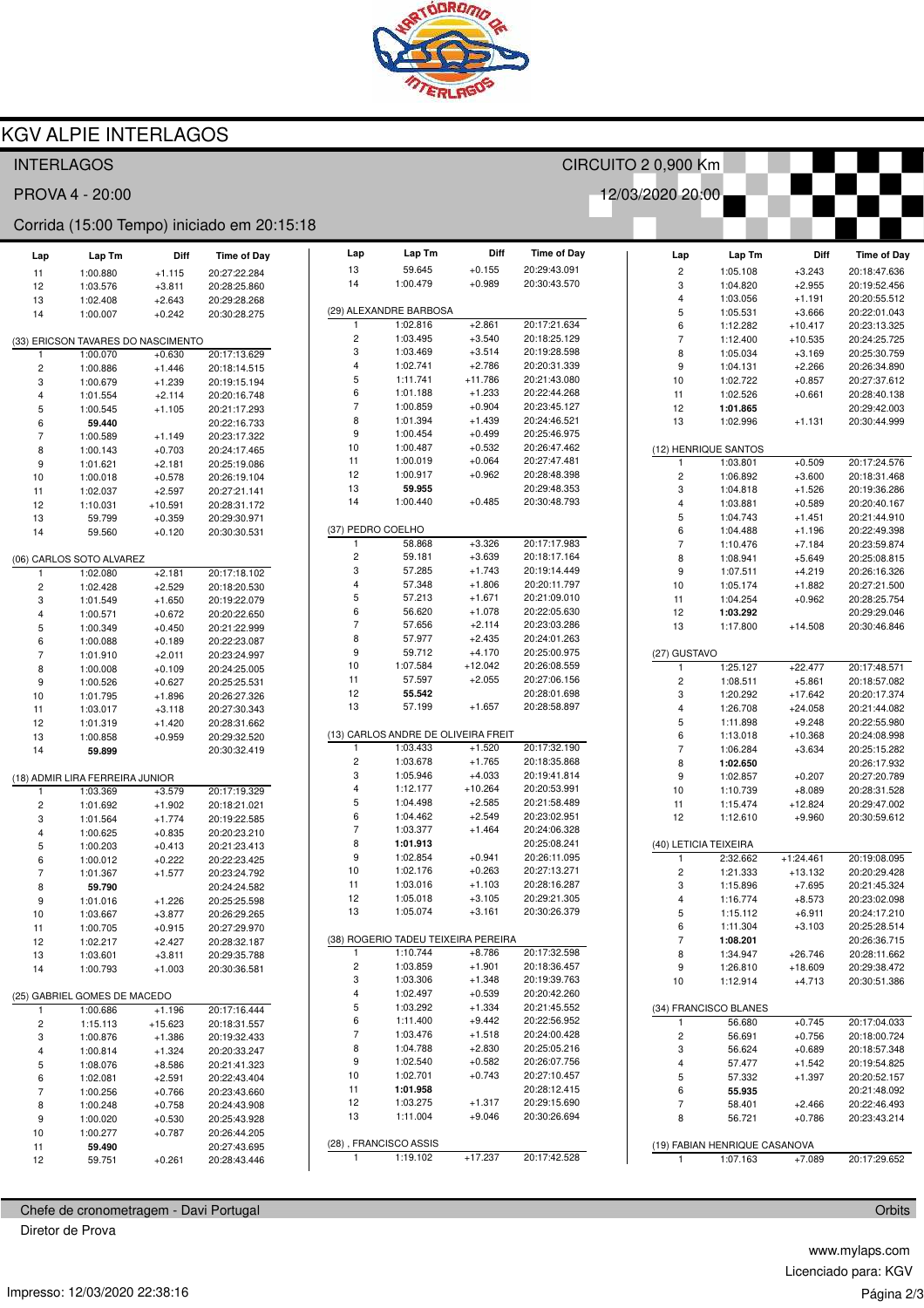

 $\ensuremath{\mathsf{Lap}}\xspace\, \ensuremath{\mathsf{Tm}}\xspace$ 

Lap

Diff

Time of Day

CIRCUITO 2 0,900 Km

12/03/2020 20:00

## **KGV ALPIE INTERLAGOS**

### **INTERLAGOS**

PROVA 4 - 20:00

#### Corrida (15:00 Tempo) iniciado em 20:15:18

| Lap                                | Lap Tm                          | Diff      | <b>Time of Day</b> |  |  |  |
|------------------------------------|---------------------------------|-----------|--------------------|--|--|--|
| 11                                 | 1:00.880                        | $+1.115$  | 20:27:22.284       |  |  |  |
| 12                                 | 1:03.576                        | $+3.811$  | 20:28:25.860       |  |  |  |
| 13                                 | 1:02.408                        | $+2.643$  | 20:29:28.268       |  |  |  |
| 14                                 | 1:00.007                        | $+0.242$  | 20:30:28.275       |  |  |  |
|                                    |                                 |           |                    |  |  |  |
| (33) ERICSON TAVARES DO NASCIMENTO |                                 |           |                    |  |  |  |
| 1                                  |                                 |           | 20:17:13.629       |  |  |  |
|                                    | 1:00.070                        | $+0.630$  |                    |  |  |  |
| 2                                  | 1:00.886                        | +1.446    | 20:18:14.515       |  |  |  |
| 3                                  | 1:00.679                        | $+1.239$  | 20:19:15.194       |  |  |  |
| 4                                  | 1:01.554                        | $+2.114$  | 20:20:16.748       |  |  |  |
| 5                                  | 1:00.545                        | $+1.105$  | 20:21:17.293       |  |  |  |
| 6                                  | 59.440                          |           | 20:22:16.733       |  |  |  |
| 7                                  | 1:00.589                        | $+1.149$  | 20:23:17.322       |  |  |  |
| 8                                  | 1:00.143                        | $+0.703$  | 20:24:17.465       |  |  |  |
| 9                                  | 1:01.621                        | $+2.181$  | 20:25:19.086       |  |  |  |
| 10                                 | 1:00.018                        | $+0.578$  | 20:26:19.104       |  |  |  |
| 11                                 | 1:02.037                        | $+2.597$  | 20:27:21.141       |  |  |  |
| 12                                 | 1:10.031                        | $+10.591$ | 20:28:31.172       |  |  |  |
| 13                                 | 59.799                          | $+0.359$  | 20:29:30.971       |  |  |  |
| 14                                 | 59.560                          | $+0.120$  | 20:30:30.531       |  |  |  |
|                                    |                                 |           |                    |  |  |  |
|                                    | (06) CARLOS SOTO ALVAREZ        |           |                    |  |  |  |
| 1                                  | 1:02.080                        | $+2.181$  | 20:17:18.102       |  |  |  |
| 2                                  | 1:02.428                        | $+2.529$  | 20:18:20.530       |  |  |  |
| 3                                  | 1:01.549                        | $+1.650$  | 20:19:22.079       |  |  |  |
| 4                                  | 1:00.571                        | $+0.672$  | 20:20:22.650       |  |  |  |
| 5                                  | 1:00.349                        | $+0.450$  | 20:21:22.999       |  |  |  |
| 6                                  |                                 | $+0.189$  | 20:22:23.087       |  |  |  |
| 7                                  | 1:00.088                        |           | 20:23:24.997       |  |  |  |
|                                    | 1:01.910                        | $+2.011$  |                    |  |  |  |
| 8                                  | 1:00.008                        | $+0.109$  | 20:24:25.005       |  |  |  |
| 9                                  | 1:00.526                        | $+0.627$  | 20:25:25.531       |  |  |  |
| 10                                 | 1:01.795                        | $+1.896$  | 20:26:27.326       |  |  |  |
| 11                                 | 1:03.017                        | $+3.118$  | 20:27:30.343       |  |  |  |
| 12                                 | 1:01.319                        | $+1.420$  | 20:28:31.662       |  |  |  |
| 13                                 | 1:00.858                        | $+0.959$  | 20:29:32.520       |  |  |  |
| 14                                 | 59.899                          |           | 20:30:32.419       |  |  |  |
|                                    |                                 |           |                    |  |  |  |
|                                    | (18) ADMIR LIRA FERREIRA JUNIOR |           |                    |  |  |  |
| 1                                  | 1:03.369                        | $+3.579$  | 20:17:19.329       |  |  |  |
| 2                                  | 1:01.692                        | $+1.902$  | 20:18:21.021       |  |  |  |
| 3                                  | 1:01.564                        | $+1.774$  | 20:19:22.585       |  |  |  |
| 4                                  | 1:00.625                        | $+0.835$  | 20:20:23.210       |  |  |  |
| 5                                  | 1:00.203                        | $+0.413$  | 20:21:23.413       |  |  |  |
| 6                                  | 1:00.012                        | $+0.222$  | 20:22:23.425       |  |  |  |
| 7                                  | 1:01.367                        | $+1.577$  | 20:23:24.792       |  |  |  |
| 8                                  | 59.790                          |           | 20:24:24.582       |  |  |  |
| 9                                  | 1:01.016                        | $+1.226$  | 20:25:25.598       |  |  |  |
| 10                                 | 1:03.667                        | $+3.877$  | 20:26:29.265       |  |  |  |
| 11                                 | 1:00.705                        | $+0.915$  | 20:27:29.970       |  |  |  |
| 12                                 | 1:02.217                        | +2.427    | 20:28:32.187       |  |  |  |
| 13                                 | 1:03.601                        | $+3.811$  | 20:29:35.788       |  |  |  |
| 14                                 | 1:00.793                        | $+1.003$  | 20:30:36.581       |  |  |  |
|                                    |                                 |           |                    |  |  |  |
|                                    | (25) GABRIEL GOMES DE MACEDO    |           |                    |  |  |  |
| 1                                  | 1:00.686                        | $+1.196$  | 20:17:16.444       |  |  |  |
|                                    | 1:15.113                        | $+15.623$ | 20:18:31.557       |  |  |  |
| 2                                  |                                 |           |                    |  |  |  |
| 3                                  | 1:00.876                        | $+1.386$  | 20:19:32.433       |  |  |  |
| 4                                  | 1:00.814                        | $+1.324$  | 20:20:33.247       |  |  |  |
| 5                                  | 1:08.076                        | $+8.586$  | 20:21:41.323       |  |  |  |
| 6                                  | 1:02.081                        | $+2.591$  | 20:22:43.404       |  |  |  |
| 7                                  | 1:00.256                        | $+0.766$  | 20:23:43.660       |  |  |  |
| 8                                  | 1:00.248                        | $+0.758$  | 20:24:43.908       |  |  |  |
| 9                                  | 1:00.020                        | $+0.530$  | 20:25:43.928       |  |  |  |
| 10                                 | 1:00.277                        | $+0.787$  | 20:26:44.205       |  |  |  |
| 11                                 | 59.490                          |           | 20:27:43.695       |  |  |  |
| 12                                 | 59.751                          | $+0.261$  | 20:28:43.446       |  |  |  |

| 13                     | 59.645                              | $+0.155$  | 20:29:43.091 |  |  |  |  |
|------------------------|-------------------------------------|-----------|--------------|--|--|--|--|
| 14                     | 1:00.479                            | $+0.989$  | 20:30:43.570 |  |  |  |  |
|                        |                                     |           |              |  |  |  |  |
| (29) ALEXANDRE BARBOSA |                                     |           |              |  |  |  |  |
| 1                      | 1:02.816                            | $+2.861$  | 20:17:21.634 |  |  |  |  |
| $\overline{c}$         | 1:03.495                            | $+3.540$  | 20:18:25.129 |  |  |  |  |
| 3                      | 1:03.469                            | $+3.514$  | 20:19:28.598 |  |  |  |  |
| $\overline{4}$         | 1:02.741                            | $+2.786$  | 20:20:31.339 |  |  |  |  |
| 5                      | 1:11.741                            | +11.786   | 20:21:43.080 |  |  |  |  |
| 6                      | 1:01.188                            | $+1.233$  | 20:22:44.268 |  |  |  |  |
| 7                      | 1:00.859                            | $+0.904$  | 20:23:45.127 |  |  |  |  |
| 8                      | 1:01.394                            | $+1.439$  | 20:24:46.521 |  |  |  |  |
| 9                      | 1:00.454                            | $+0.499$  | 20:25:46.975 |  |  |  |  |
| 10                     | 1:00.487                            | $+0.532$  | 20:26:47.462 |  |  |  |  |
| 11                     | 1:00.019                            | $+0.064$  | 20:27:47.481 |  |  |  |  |
| 12                     | 1:00.917                            | $+0.962$  | 20:28:48.398 |  |  |  |  |
| 13                     | 59.955                              |           | 20:29:48.353 |  |  |  |  |
| 14                     | 1:00.440                            | +0.485    | 20:30:48.793 |  |  |  |  |
|                        |                                     |           |              |  |  |  |  |
| (37) PEDRO COELHO      |                                     |           |              |  |  |  |  |
| 1                      | 58.868                              | $+3.326$  | 20:17:17.983 |  |  |  |  |
| 2                      | 59.181                              | $+3.639$  | 20:18:17.164 |  |  |  |  |
| 3                      | 57.285                              | $+1.743$  | 20:19:14.449 |  |  |  |  |
| 4                      | 57.348                              | $+1.806$  | 20:20:11.797 |  |  |  |  |
| 5                      | 57.213                              | $+1.671$  | 20:21:09.010 |  |  |  |  |
| 6                      | 56.620                              | $+1.078$  | 20:22:05.630 |  |  |  |  |
| 7                      | 57.656                              | $+2.114$  | 20:23:03.286 |  |  |  |  |
| 8                      | 57.977                              | $+2.435$  | 20:24:01.263 |  |  |  |  |
| 9                      | 59.712                              | $+4.170$  | 20:25:00.975 |  |  |  |  |
| 10                     | 1:07.584                            | $+12.042$ | 20:26:08.559 |  |  |  |  |
| 11                     | 57.597                              | $+2.055$  | 20:27:06.156 |  |  |  |  |
| 12                     | 55.542                              |           | 20:28:01.698 |  |  |  |  |
| 13                     | 57.199                              | $+1.657$  | 20:28:58.897 |  |  |  |  |
|                        |                                     |           |              |  |  |  |  |
|                        |                                     |           |              |  |  |  |  |
|                        | (13) CARLOS ANDRE DE OLIVEIRA FREIT |           |              |  |  |  |  |
| 1                      | 1:03.433                            | $+1.520$  | 20:17:32.190 |  |  |  |  |
| 2                      | 1:03.678                            | $+1.765$  | 20:18:35.868 |  |  |  |  |
| 3                      | 1:05.946                            | $+4.033$  | 20:19:41.814 |  |  |  |  |
| 4                      | 1:12.177                            | $+10.264$ | 20:20:53.991 |  |  |  |  |
| 5                      | 1:04.498                            | $+2.585$  | 20:21:58.489 |  |  |  |  |
| 6                      | 1:04.462                            | $+2.549$  | 20:23:02.951 |  |  |  |  |
| 7                      | 1:03.377                            | $+1.464$  | 20:24:06.328 |  |  |  |  |
| 8                      | 1:01.913                            |           | 20:25:08.241 |  |  |  |  |
| 9                      | 1:02.854                            | $+0.941$  | 20:26:11.095 |  |  |  |  |
| 10                     | 1:02.176                            | $+0.263$  | 20:27:13.271 |  |  |  |  |
| 11                     | 1:03.016                            | $+1.103$  | 20:28:16.287 |  |  |  |  |
| 12                     | 1:05.018                            | $+3.105$  | 20:29:21.305 |  |  |  |  |
| 13                     | 1:05.074                            | $+3.161$  | 20:30:26.379 |  |  |  |  |
|                        | (38) ROGERIO TADEU TEIXEIRA PEREIRA |           |              |  |  |  |  |
| 1                      | 1:10.744                            | $+8.786$  | 20:17:32.598 |  |  |  |  |
| 2                      | 1:03.859                            | +1.901    | 20:18:36.457 |  |  |  |  |
| 3                      | 1:03.306                            | $+1.348$  | 20:19:39.763 |  |  |  |  |
| 4                      | 1:02.497                            | $+0.539$  | 20:20:42.260 |  |  |  |  |
| 5                      | 1:03.292                            | $+1.334$  | 20:21:45.552 |  |  |  |  |
| 6                      | 1:11.400                            | $+9.442$  | 20:22:56.952 |  |  |  |  |
| 7                      | 1:03.476                            | $+1.518$  | 20:24:00.428 |  |  |  |  |
| 8                      | 1:04.788                            | $+2.830$  | 20:25:05.216 |  |  |  |  |
| 9                      | 1:02.540                            | $+0.582$  | 20:26:07.756 |  |  |  |  |
| 10                     | 1:02.701                            | $+0.743$  | 20:27:10.457 |  |  |  |  |
| 11                     | 1:01.958                            |           | 20:28:12.415 |  |  |  |  |
| 12                     | 1:03.275                            | $+1.317$  | 20:29:15.690 |  |  |  |  |
| 13                     | 1:11.004                            | $+9.046$  | 20:30:26.694 |  |  |  |  |
|                        |                                     |           |              |  |  |  |  |
|                        | (28), FRANCISCO ASSIS               |           |              |  |  |  |  |

| Lap                        | Lap Tm                        | Diff                 | <b>Time of Day</b>           |
|----------------------------|-------------------------------|----------------------|------------------------------|
|                            |                               |                      |                              |
| 2                          | 1:05.108                      | $+3.243$             | 20:18:47.636                 |
| 3                          | 1:04.820                      | $+2.955$             | 20:19:52.456                 |
| 4                          | 1:03.056                      | $+1.191$             | 20:20:55.512                 |
| 5                          | 1:05.531                      | $+3.666$             | 20:22:01.043                 |
| 6                          | 1:12.282                      | $+10.417$            | 20:23:13.325                 |
| 7                          | 1:12.400                      | $+10.535$            | 20:24:25.725                 |
| 8                          | 1:05.034                      | $+3.169$             | 20:25:30.759                 |
| 9                          | 1:04.131                      | $+2.266$             | 20:26:34.890                 |
| 10                         | 1:02.722                      | $+0.857$             | 20:27:37.612                 |
| 11                         | 1:02.526                      | $+0.661$             | 20:28:40.138                 |
| 12                         | 1:01.865                      |                      | 20:29:42.003                 |
| 13                         | 1:02.996                      | $+1.131$             | 20:30:44.999                 |
| (12) HENRIQUE SANTOS       |                               |                      |                              |
| 1                          | 1:03.801                      | $+0.509$             | 20:17:24.576                 |
| 2                          | 1:06.892                      | $+3.600$             | 20:18:31.468                 |
| 3                          | 1:04.818                      | $+1.526$             | 20:19:36.286                 |
| 4                          | 1:03.881                      | $+0.589$             | 20:20:40.167                 |
| 5                          | 1:04.743                      | +1.451               | 20:21:44.910                 |
| 6                          | 1:04.488                      | $+1.196$             | 20:22:49.398                 |
| 7                          | 1:10.476                      | $+7.184$<br>$+5.649$ | 20:23:59.874<br>20:25:08.815 |
| 8<br>9                     | 1:08.941                      | $+4.219$             |                              |
| 10                         | 1:07.511<br>1:05.174          | +1.882               | 20:26:16.326<br>20:27:21.500 |
| 11                         | 1:04.254                      | $+0.962$             | 20:28:25.754                 |
| 12                         | 1:03.292                      |                      | 20:29:29.046                 |
| 13                         | 1:17.800                      | $+14.508$            | 20:30:46.846                 |
|                            |                               |                      |                              |
| (27) GUSTAVO               |                               |                      |                              |
| 1                          | 1:25.127                      | $+22.477$            | 20:17:48.571                 |
| 2                          | 1:08.511                      | $+5.861$             | 20:18:57.082                 |
| 3                          | 1:20.292                      | $+17.642$            | 20:20:17.374                 |
| 4                          | 1:26.708                      | $+24.058$            | 20:21:44.082                 |
| 5                          | 1:11.898                      | $+9.248$             | 20:22:55.980                 |
| 6                          | 1:13.018                      | +10.368              | 20:24:08.998                 |
| 7                          | 1:06.284                      | $+3.634$             | 20:25:15.282                 |
| 8<br>9                     | 1:02.650<br>1:02.857          | $+0.207$             | 20:26:17.932<br>20:27:20.789 |
| 10                         | 1:10.739                      | $+8.089$             | 20:28:31.528                 |
| 11                         | 1:15.474                      | $+12.824$            | 20:29:47.002                 |
| 12                         | 1:12.610                      | $+9.960$             | 20:30:59.612                 |
|                            |                               |                      |                              |
| (40) LETICIA TEIXEIRA<br>1 | 2:32.662                      | $+1:24.461$          | 20:19:08.095                 |
| 2                          | 1:21.333                      | $+13.132$            | 20:20:29.428                 |
| 3                          | 1:15.896                      | $+7.695$             | 20:21:45.324                 |
| 4                          | 1:16.774                      | $+8.573$             | 20:23:02.098                 |
| 5                          | 1:15.112                      | $+6.911$             | 20:24:17.210                 |
| 6                          | 1:11.304                      | $+3.103$             | 20:25:28.514                 |
| 7                          | 1:08.201                      |                      | 20:26:36.715                 |
| 8                          | 1:34.947                      | $+26.746$            | 20:28:11.662                 |
| 9                          | 1:26.810                      | $+18.609$            | 20:29:38.472                 |
| 10                         | 1:12.914                      | $+4.713$             | 20:30:51.386                 |
|                            | (34) FRANCISCO BLANES         |                      |                              |
| 1                          | 56.680                        | $+0.745$             | 20:17:04.033                 |
| 2                          | 56.691                        | $+0.756$             | 20:18:00.724                 |
| 3                          | 56.624                        | $+0.689$             | 20:18:57.348                 |
| 4                          | 57.477                        | $+1.542$             | 20:19:54.825                 |
| 5                          | 57.332                        | $+1.397$             | 20:20:52.157                 |
| 6                          | 55.935                        |                      | 20:21:48.092                 |
| 7                          | 58.401                        | $+2.466$             | 20:22:46.493                 |
| 8                          | 56.721                        | $+0.786$             | 20:23:43.214                 |
|                            | (19) FABIAN HENRIQUE CASANOVA |                      |                              |
| 1                          | 1:07.163                      | $+7.089$             | 20:17:29.652                 |

Chefe de cronometragem - Davi Portugal Diretor de Prova

> www.mylaps.com Licenciado para: KGV Página 2/3

Orbits